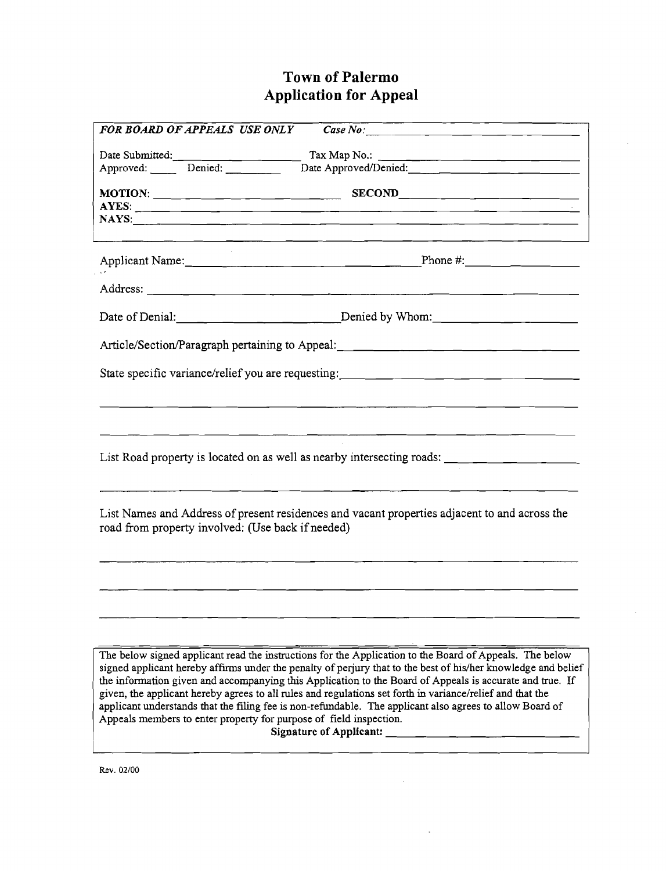## **Town of Palermo Application for Appeal**

| дррисации тог дррсаг                                                                                                                                                                                                                                                                                                                                                                                                                                                                                                                                                                                                                                                  |
|-----------------------------------------------------------------------------------------------------------------------------------------------------------------------------------------------------------------------------------------------------------------------------------------------------------------------------------------------------------------------------------------------------------------------------------------------------------------------------------------------------------------------------------------------------------------------------------------------------------------------------------------------------------------------|
| $\overline{Case No:}$<br>FOR BOARD OF APPEALS USE ONLY                                                                                                                                                                                                                                                                                                                                                                                                                                                                                                                                                                                                                |
| Date Submitted:                                                                                                                                                                                                                                                                                                                                                                                                                                                                                                                                                                                                                                                       |
| Approved: Denied:                                                                                                                                                                                                                                                                                                                                                                                                                                                                                                                                                                                                                                                     |
|                                                                                                                                                                                                                                                                                                                                                                                                                                                                                                                                                                                                                                                                       |
|                                                                                                                                                                                                                                                                                                                                                                                                                                                                                                                                                                                                                                                                       |
|                                                                                                                                                                                                                                                                                                                                                                                                                                                                                                                                                                                                                                                                       |
|                                                                                                                                                                                                                                                                                                                                                                                                                                                                                                                                                                                                                                                                       |
|                                                                                                                                                                                                                                                                                                                                                                                                                                                                                                                                                                                                                                                                       |
| Date of Denial: $\qquad \qquad$ $\qquad \qquad$ $\qquad$ Denied by Whom:                                                                                                                                                                                                                                                                                                                                                                                                                                                                                                                                                                                              |
| Article/Section/Paragraph pertaining to Appeal: _________________________________                                                                                                                                                                                                                                                                                                                                                                                                                                                                                                                                                                                     |
|                                                                                                                                                                                                                                                                                                                                                                                                                                                                                                                                                                                                                                                                       |
| <u> 1965 - John Harry Harry Harry Harry Harry Harry Harry Harry Harry Harry Harry Harry Harry Harry Harry Harry H</u><br>List Road property is located on as well as nearby intersecting roads:                                                                                                                                                                                                                                                                                                                                                                                                                                                                       |
| List Names and Address of present residences and vacant properties adjacent to and across the<br>road from property involved: (Use back if needed)                                                                                                                                                                                                                                                                                                                                                                                                                                                                                                                    |
|                                                                                                                                                                                                                                                                                                                                                                                                                                                                                                                                                                                                                                                                       |
|                                                                                                                                                                                                                                                                                                                                                                                                                                                                                                                                                                                                                                                                       |
| The below signed applicant read the instructions for the Application to the Board of Appeals. The below<br>signed applicant hereby affirms under the penalty of perjury that to the best of his/her knowledge and belief<br>the information given and accompanying this Application to the Board of Appeals is accurate and true. If<br>given, the applicant hereby agrees to all rules and regulations set forth in variance/relief and that the<br>applicant understands that the filing fee is non-refundable. The applicant also agrees to allow Board of<br>Appeals members to enter property for purpose of field inspection.<br><b>Signature of Applicant:</b> |
|                                                                                                                                                                                                                                                                                                                                                                                                                                                                                                                                                                                                                                                                       |